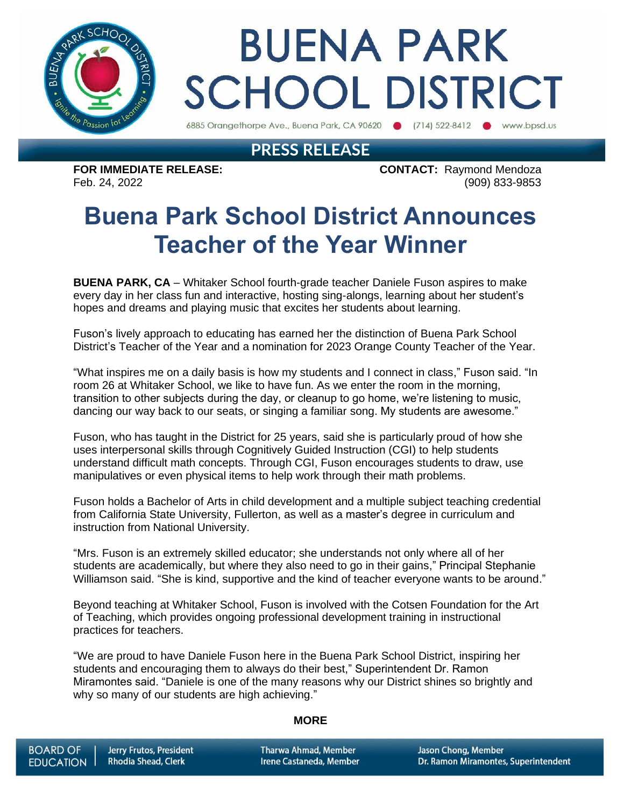

# **BUENA PARK SCHOOL DISTRICT**

6885 Orangethorpe Ave., Buena Park, CA 90620 (714) 522-8412 www.bpsd.us

### **PRESS RELEASE**

**FOR IMMEDIATE RELEASE: CONTACT:** Raymond Mendoza Feb. 24, 2022 (909) 833-9853

## **Buena Park School District Announces Teacher of the Year Winner**

**BUENA PARK, CA** – Whitaker School fourth-grade teacher Daniele Fuson aspires to make every day in her class fun and interactive, hosting sing-alongs, learning about her student's hopes and dreams and playing music that excites her students about learning.

Fuson's lively approach to educating has earned her the distinction of Buena Park School District's Teacher of the Year and a nomination for 2023 Orange County Teacher of the Year.

"What inspires me on a daily basis is how my students and I connect in class," Fuson said. "In room 26 at Whitaker School, we like to have fun. As we enter the room in the morning, transition to other subjects during the day, or cleanup to go home, we're listening to music, dancing our way back to our seats, or singing a familiar song. My students are awesome."

Fuson, who has taught in the District for 25 years, said she is particularly proud of how she uses interpersonal skills through Cognitively Guided Instruction (CGI) to help students understand difficult math concepts. Through CGI, Fuson encourages students to draw, use manipulatives or even physical items to help work through their math problems.

Fuson holds a Bachelor of Arts in child development and a multiple subject teaching credential from California State University, Fullerton, as well as a master's degree in curriculum and instruction from National University.

"Mrs. Fuson is an extremely skilled educator; she understands not only where all of her students are academically, but where they also need to go in their gains," Principal Stephanie Williamson said. "She is kind, supportive and the kind of teacher everyone wants to be around."

Beyond teaching at Whitaker School, Fuson is involved with the Cotsen Foundation for the Art of Teaching, which provides ongoing professional development training in instructional practices for teachers.

"We are proud to have Daniele Fuson here in the Buena Park School District, inspiring her students and encouraging them to always do their best," Superintendent Dr. Ramon Miramontes said. "Daniele is one of the many reasons why our District shines so brightly and why so many of our students are high achieving."

#### **MORE**

**Tharwa Ahmad, Member** Irene Castaneda, Member